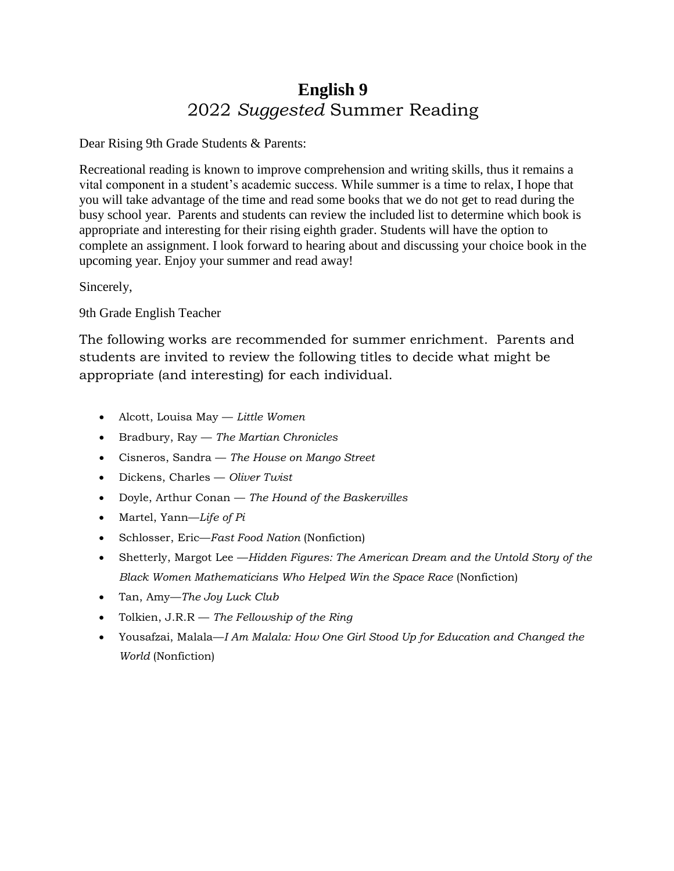# **English 9**  2022 *Suggested* Summer Reading

Dear Rising 9th Grade Students & Parents:

Recreational reading is known to improve comprehension and writing skills, thus it remains a vital component in a student's academic success. While summer is a time to relax, I hope that you will take advantage of the time and read some books that we do not get to read during the busy school year. Parents and students can review the included list to determine which book is appropriate and interesting for their rising eighth grader. Students will have the option to complete an assignment. I look forward to hearing about and discussing your choice book in the upcoming year. Enjoy your summer and read away!

Sincerely,

9th Grade English Teacher

The following works are recommended for summer enrichment. Parents and students are invited to review the following titles to decide what might be appropriate (and interesting) for each individual.

- Alcott, Louisa May *Little Women*
- Bradbury, Ray *The Martian Chronicles*
- Cisneros, Sandra *The House on Mango Street*
- Dickens, Charles *Oliver Twist*
- Doyle, Arthur Conan *The Hound of the Baskervilles*
- Martel, Yann—*Life of Pi*
- Schlosser, Eric—*Fast Food Nation* (Nonfiction)
- Shetterly, Margot Lee —*Hidden Figures: The American Dream and the Untold Story of the Black Women Mathematicians Who Helped Win the Space Race* (Nonfiction)
- Tan, Amy—*The Joy Luck Club*
- Tolkien, J.R.R *The Fellowship of the Ring*
- Yousafzai, Malala—*I Am Malala: How One Girl Stood Up for Education and Changed the World* (Nonfiction)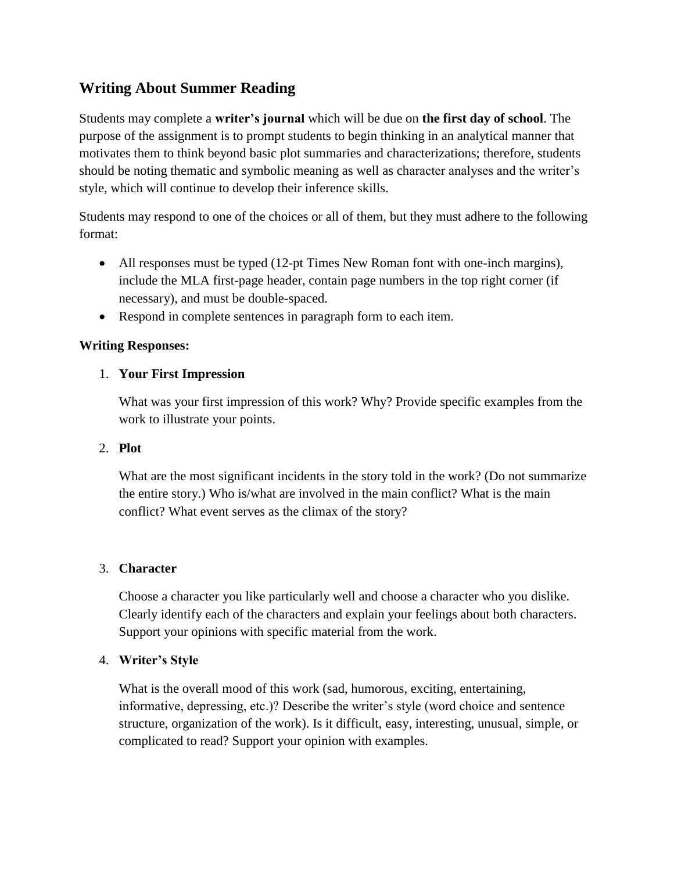## **Writing About Summer Reading**

Students may complete a **writer's journal** which will be due on **the first day of school**. The purpose of the assignment is to prompt students to begin thinking in an analytical manner that motivates them to think beyond basic plot summaries and characterizations; therefore, students should be noting thematic and symbolic meaning as well as character analyses and the writer's style, which will continue to develop their inference skills.

Students may respond to one of the choices or all of them, but they must adhere to the following format:

- All responses must be typed (12-pt Times New Roman font with one-inch margins), include the MLA first-page header, contain page numbers in the top right corner (if necessary), and must be double-spaced.
- Respond in complete sentences in paragraph form to each item.

#### **Writing Responses:**

### 1. **Your First Impression**

What was your first impression of this work? Why? Provide specific examples from the work to illustrate your points.

#### 2. **Plot**

What are the most significant incidents in the story told in the work? (Do not summarize the entire story.) Who is/what are involved in the main conflict? What is the main conflict? What event serves as the climax of the story?

#### 3. **Character**

Choose a character you like particularly well and choose a character who you dislike. Clearly identify each of the characters and explain your feelings about both characters. Support your opinions with specific material from the work.

#### 4. **Writer's Style**

What is the overall mood of this work (sad, humorous, exciting, entertaining, informative, depressing, etc.)? Describe the writer's style (word choice and sentence structure, organization of the work). Is it difficult, easy, interesting, unusual, simple, or complicated to read? Support your opinion with examples.